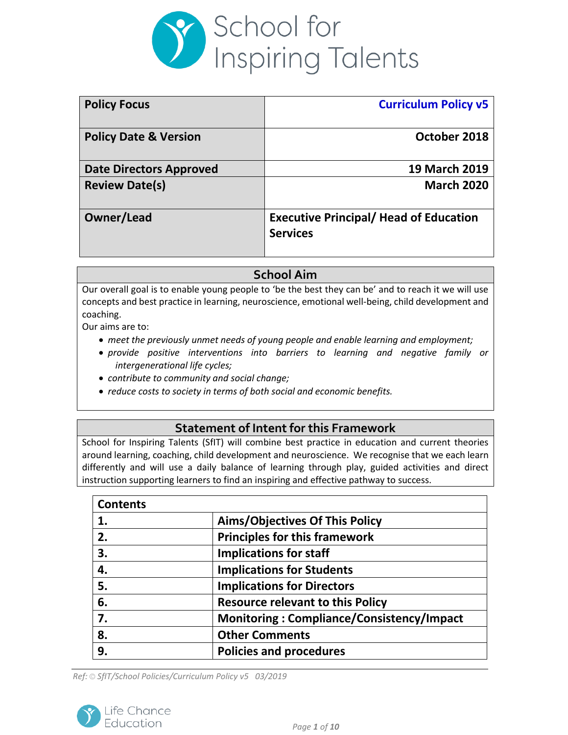

| <b>Policy Focus</b>              | <b>Curriculum Policy v5</b>                                      |
|----------------------------------|------------------------------------------------------------------|
| <b>Policy Date &amp; Version</b> | October 2018                                                     |
| <b>Date Directors Approved</b>   | <b>19 March 2019</b>                                             |
| <b>Review Date(s)</b>            | <b>March 2020</b>                                                |
| Owner/Lead                       | <b>Executive Principal/ Head of Education</b><br><b>Services</b> |

# **School Aim**

Our overall goal is to enable young people to 'be the best they can be' and to reach it we will use concepts and best practice in learning, neuroscience, emotional well-being, child development and coaching.

Our aims are to:

- *meet the previously unmet needs of young people and enable learning and employment;*
- *provide positive interventions into barriers to learning and negative family or intergenerational life cycles;*
- *contribute to community and social change;*
- *reduce costs to society in terms of both social and economic benefits.*

## **Statement of Intent for this Framework**

School for Inspiring Talents (SfIT) will combine best practice in education and current theories around learning, coaching, child development and neuroscience. We recognise that we each learn differently and will use a daily balance of learning through play, guided activities and direct instruction supporting learners to find an inspiring and effective pathway to success.

| <b>Contents</b> |                                                  |
|-----------------|--------------------------------------------------|
| 1.              | <b>Aims/Objectives Of This Policy</b>            |
| 2.              | <b>Principles for this framework</b>             |
| 3.              | <b>Implications for staff</b>                    |
| 4.              | <b>Implications for Students</b>                 |
| 5.              | <b>Implications for Directors</b>                |
| 6.              | <b>Resource relevant to this Policy</b>          |
| 7.              | <b>Monitoring: Compliance/Consistency/Impact</b> |
| 8.              | <b>Other Comments</b>                            |
| 9.              | <b>Policies and procedures</b>                   |

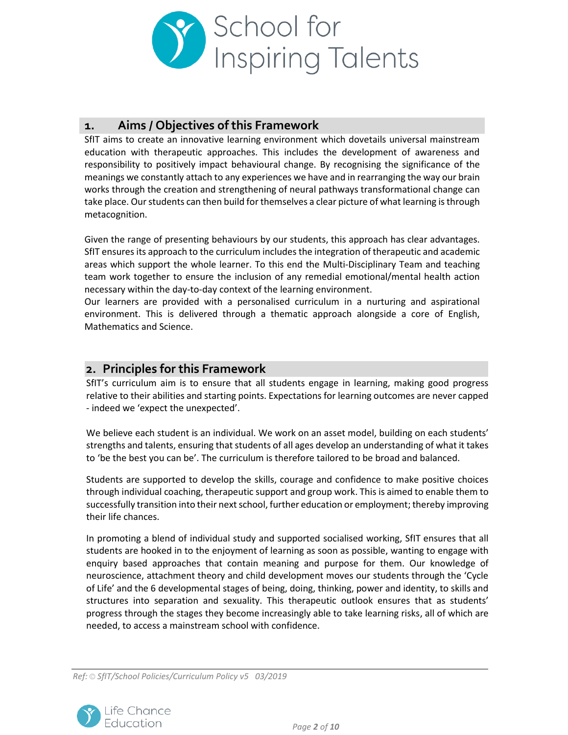

## **1. Aims / Objectives of this Framework**

SfIT aims to create an innovative learning environment which dovetails universal mainstream education with therapeutic approaches. This includes the development of awareness and responsibility to positively impact behavioural change. By recognising the significance of the meanings we constantly attach to any experiences we have and in rearranging the way our brain works through the creation and strengthening of neural pathways transformational change can take place. Our students can then build for themselves a clear picture of what learning is through metacognition.

Given the range of presenting behaviours by our students, this approach has clear advantages. SfIT ensures its approach to the curriculum includes the integration of therapeutic and academic areas which support the whole learner. To this end the Multi-Disciplinary Team and teaching team work together to ensure the inclusion of any remedial emotional/mental health action necessary within the day-to-day context of the learning environment.

Our learners are provided with a personalised curriculum in a nurturing and aspirational environment. This is delivered through a thematic approach alongside a core of English, Mathematics and Science.

### **2. Principles for this Framework**

SfIT's curriculum aim is to ensure that all students engage in learning, making good progress relative to their abilities and starting points. Expectations for learning outcomes are never capped - indeed we 'expect the unexpected'.

We believe each student is an individual. We work on an asset model, building on each students' strengths and talents, ensuring that students of all ages develop an understanding of what it takes to 'be the best you can be'. The curriculum is therefore tailored to be broad and balanced.

Students are supported to develop the skills, courage and confidence to make positive choices through individual coaching, therapeutic support and group work. This is aimed to enable them to successfully transition into their next school, further education or employment; thereby improving their life chances.

In promoting a blend of individual study and supported socialised working, SfIT ensures that all students are hooked in to the enjoyment of learning as soon as possible, wanting to engage with enquiry based approaches that contain meaning and purpose for them. Our knowledge of neuroscience, attachment theory and child development moves our students through the 'Cycle of Life' and the 6 developmental stages of being, doing, thinking, power and identity, to skills and structures into separation and sexuality. This therapeutic outlook ensures that as students' progress through the stages they become increasingly able to take learning risks, all of which are needed, to access a mainstream school with confidence.

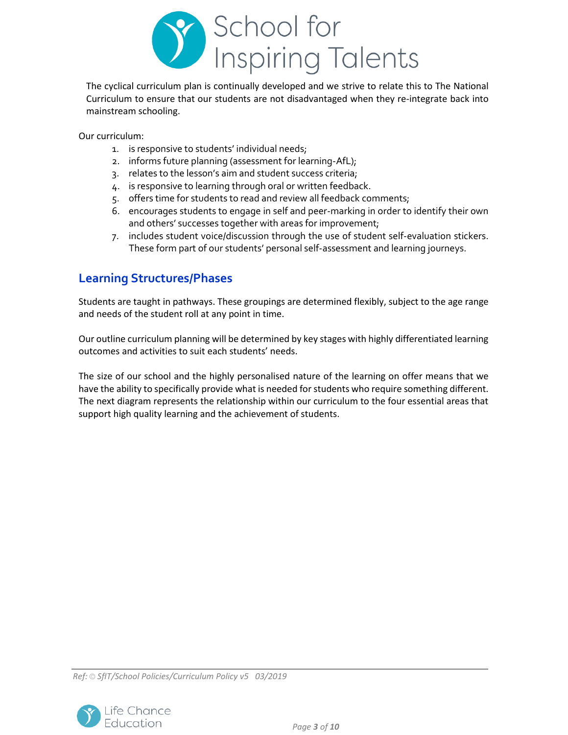

The cyclical curriculum plan is continually developed and we strive to relate this to The National Curriculum to ensure that our students are not disadvantaged when they re-integrate back into mainstream schooling.

Our curriculum:

- 1. is responsive to students' individual needs;
- 2. informs future planning (assessment for learning-AfL);
- 3. relates to the lesson's aim and student success criteria;
- 4. is responsive to learning through oral or written feedback.
- 5. offers time for students to read and review all feedback comments;
- 6. encourages students to engage in self and peer-marking in order to identify their own and others' successes together with areas for improvement;
- 7. includes student voice/discussion through the use of student self-evaluation stickers. These form part of our students' personal self-assessment and learning journeys.

# **Learning Structures/Phases**

Students are taught in pathways. These groupings are determined flexibly, subject to the age range and needs of the student roll at any point in time.

Our outline curriculum planning will be determined by key stages with highly differentiated learning outcomes and activities to suit each students' needs.

The size of our school and the highly personalised nature of the learning on offer means that we have the ability to specifically provide what is needed for students who require something different. The next diagram represents the relationship within our curriculum to the four essential areas that support high quality learning and the achievement of students.

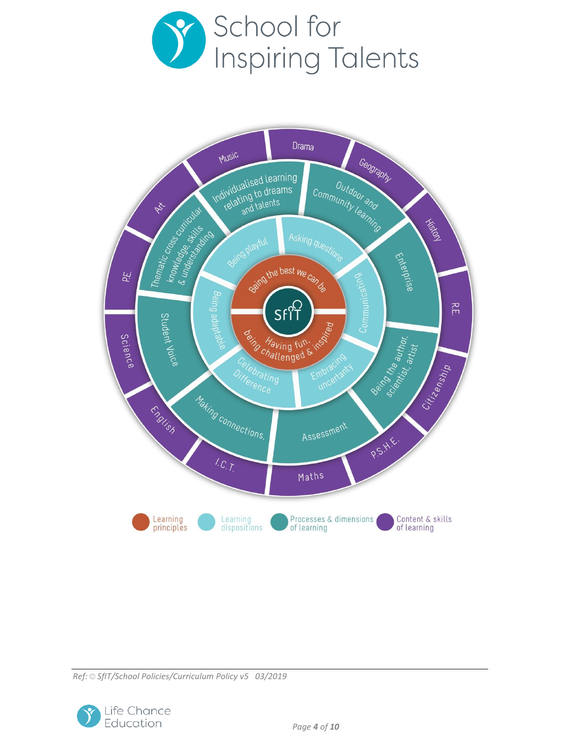



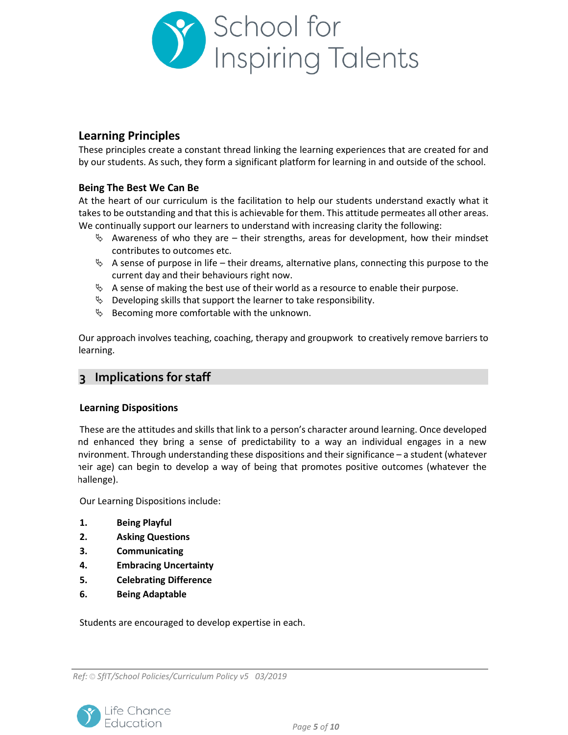

## **Learning Principles**

These principles create a constant thread linking the learning experiences that are created for and by our students. As such, they form a significant platform for learning in and outside of the school.

### **Being The Best We Can Be**

At the heart of our curriculum is the facilitation to help our students understand exactly what it takes to be outstanding and that this is achievable for them. This attitude permeates all other areas. We continually support our learners to understand with increasing clarity the following:

- $\lozenge$  Awareness of who they are their strengths, areas for development, how their mindset contributes to outcomes etc.
- $\&$  A sense of purpose in life their dreams, alternative plans, connecting this purpose to the current day and their behaviours right now.
- $\%$  A sense of making the best use of their world as a resource to enable their purpose.
- $\&$  Developing skills that support the learner to take responsibility.
- $\&$  Becoming more comfortable with the unknown.

Our approach involves teaching, coaching, therapy and groupwork to creatively remove barriers to learning.

## **3 Implications for staff**

### **Learning Dispositions**

These are the attitudes and skills that link to a person's character around learning. Once developed and enhanced they bring a sense of predictability to a way an individual engages in a new environment. Through understanding these dispositions and their significance – a student (whatever heir age) can begin to develop a way of being that promotes positive outcomes (whatever the hallenge).

Our Learning Dispositions include:

- **1. Being Playful**
- **2. Asking Questions**
- **3. Communicating**
- **4. Embracing Uncertainty**
- **5. Celebrating Difference**
- **6. Being Adaptable**

Students are encouraged to develop expertise in each.

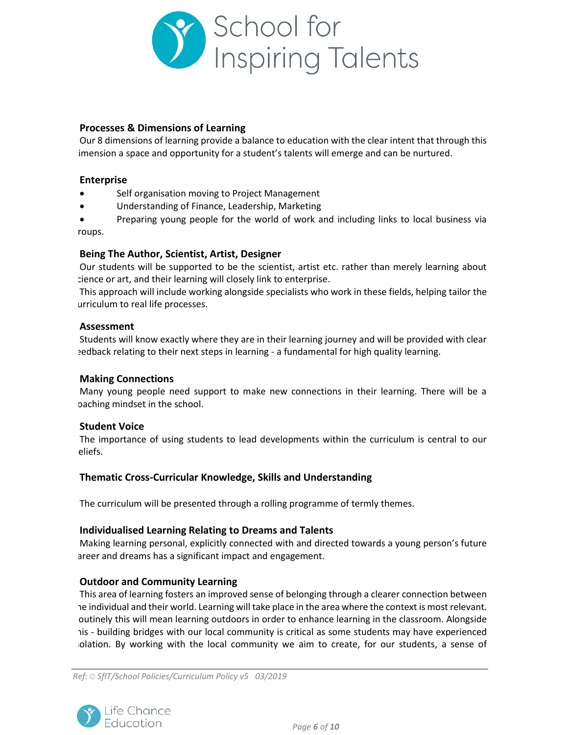

#### **Processes & Dimensions of Learning**

Our 8 dimensions of learning provide a balance to education with the clear intent that through this imension a space and opportunity for a student's talents will emerge and can be nurtured.

#### **Enterprise**

- Self organisation moving to Project Management
- Understanding of Finance, Leadership, Marketing

 Preparing young people for the world of work and including links to local business via roups.

#### **Being The Author, Scientist, Artist, Designer**

Our students will be supported to be the scientist, artist etc. rather than merely learning about science or art, and their learning will closely link to enterprise.

This approach will include working alongside specialists who work in these fields, helping tailor the urriculum to real life processes.

#### **Assessment**

Students will know exactly where they are in their learning journey and will be provided with clear edback relating to their next steps in learning - a fundamental for high quality learning.

### **Making Connections**

Many young people need support to make new connections in their learning. There will be a coaching mindset in the school.

### **Student Voice**

The importance of using students to lead developments within the curriculum is central to our beliefs.

### **Thematic Cross-Curricular Knowledge, Skills and Understanding**

The curriculum will be presented through a rolling programme of termly themes.

#### **Individualised Learning Relating to Dreams and Talents**

Making learning personal, explicitly connected with and directed towards a young person's future areer and dreams has a significant impact and engagement.

### **Outdoor and Community Learning**

This area of learning fosters an improved sense of belonging through a clearer connection between he individual and their world. Learning will take place in the area where the context is most relevant. outinely this will mean learning outdoors in order to enhance learning in the classroom. Alongside his - building bridges with our local community is critical as some students may have experienced isolation. By working with the local community we aim to create, for our students, a sense of

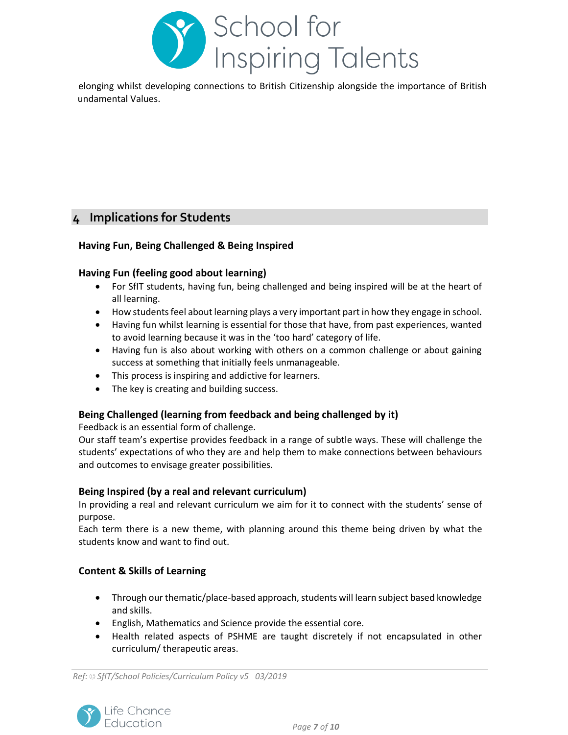

belonging whilst developing connections to British Citizenship alongside the importance of British undamental Values.

## **4 Implications for Students**

### **Having Fun, Being Challenged & Being Inspired**

### **Having Fun (feeling good about learning)**

- For SfIT students, having fun, being challenged and being inspired will be at the heart of all learning.
- How students feel about learning plays a very important part in how they engage in school.
- Having fun whilst learning is essential for those that have, from past experiences, wanted to avoid learning because it was in the 'too hard' category of life.
- Having fun is also about working with others on a common challenge or about gaining success at something that initially feels unmanageable.
- This process is inspiring and addictive for learners.
- The key is creating and building success.

### **Being Challenged (learning from feedback and being challenged by it)**

Feedback is an essential form of challenge.

Our staff team's expertise provides feedback in a range of subtle ways. These will challenge the students' expectations of who they are and help them to make connections between behaviours and outcomes to envisage greater possibilities.

### **Being Inspired (by a real and relevant curriculum)**

In providing a real and relevant curriculum we aim for it to connect with the students' sense of purpose.

Each term there is a new theme, with planning around this theme being driven by what the students know and want to find out.

### **Content & Skills of Learning**

- Through our thematic/place-based approach, students will learn subject based knowledge and skills.
- English, Mathematics and Science provide the essential core.
- Health related aspects of PSHME are taught discretely if not encapsulated in other curriculum/ therapeutic areas.

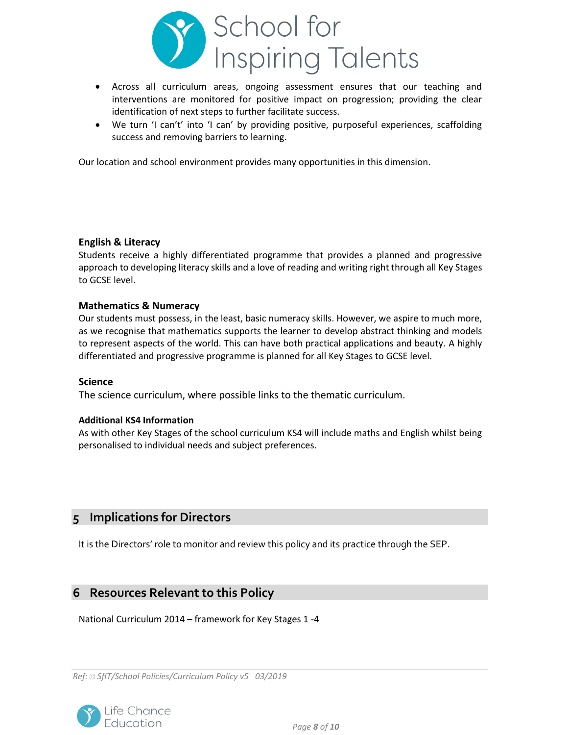

- Across all curriculum areas, ongoing assessment ensures that our teaching and interventions are monitored for positive impact on progression; providing the clear identification of next steps to further facilitate success.
- We turn 'I can't' into 'I can' by providing positive, purposeful experiences, scaffolding success and removing barriers to learning.

Our location and school environment provides many opportunities in this dimension.

#### **English & Literacy**

Students receive a highly differentiated programme that provides a planned and progressive approach to developing literacy skills and a love of reading and writing right through all Key Stages to GCSE level.

#### **Mathematics & Numeracy**

Our students must possess, in the least, basic numeracy skills. However, we aspire to much more, as we recognise that mathematics supports the learner to develop abstract thinking and models to represent aspects of the world. This can have both practical applications and beauty. A highly differentiated and progressive programme is planned for all Key Stages to GCSE level.

#### **Science**

The science curriculum, where possible links to the thematic curriculum.

#### **Additional KS4 Information**

As with other Key Stages of the school curriculum KS4 will include maths and English whilst being personalised to individual needs and subject preferences.

## **5 Implications for Directors**

It is the Directors' role to monitor and review this policy and its practice through the SEP.

## **6 Resources Relevant to this Policy**

National Curriculum 2014 – framework for Key Stages 1 -4

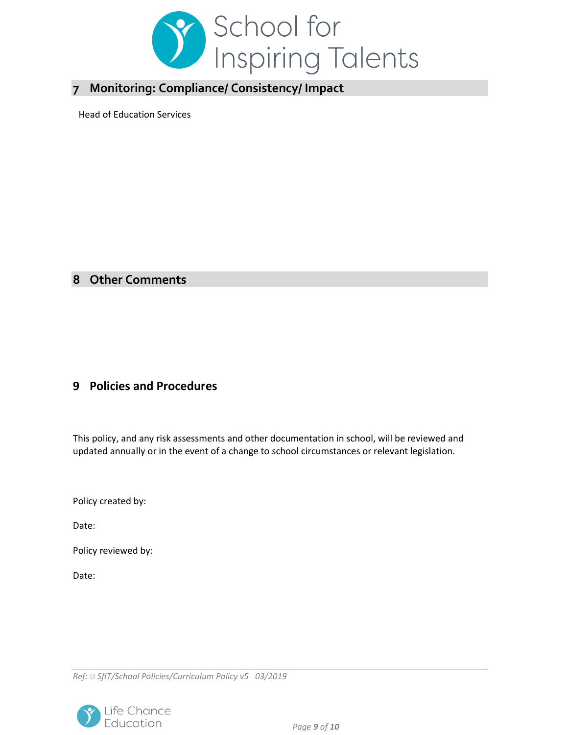

# **7 Monitoring: Compliance/ Consistency/ Impact**

Head of Education Services

# **8 Other Comments**

## **9 Policies and Procedures**

This policy, and any risk assessments and other documentation in school, will be reviewed and updated annually or in the event of a change to school circumstances or relevant legislation.

Policy created by:

Date:

Policy reviewed by:

Date: